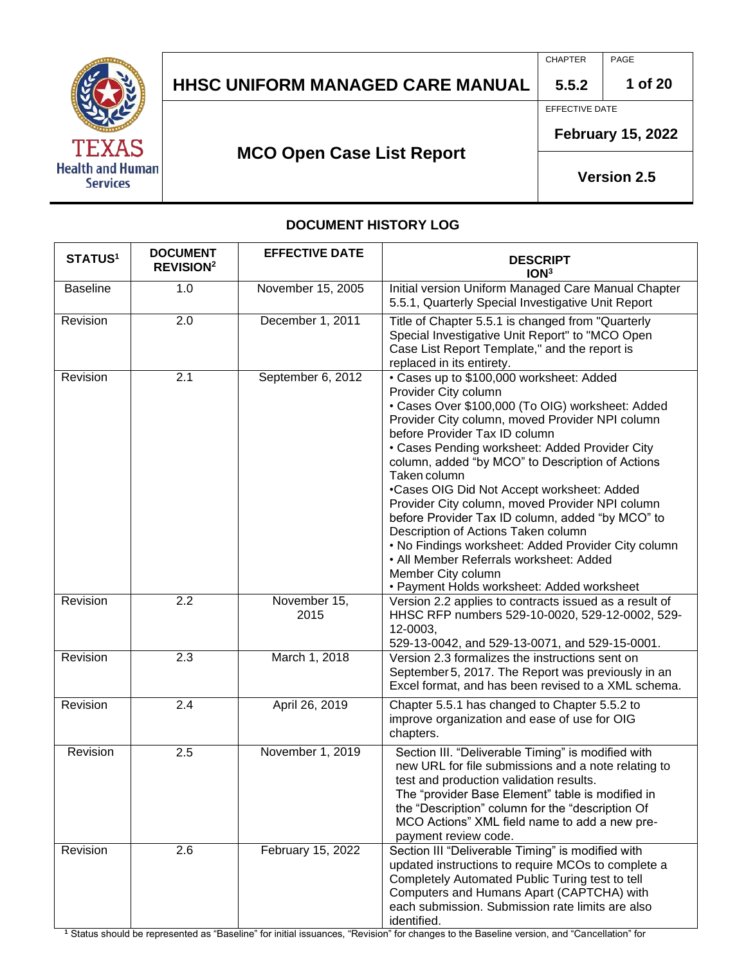

CHAPTER PAGE

**1 of 20**

EFFECTIVE DATE

**5.5.2**

**February 15, 2022**

## **MCO Open Case List Report**

**Version 2.5**

#### **DOCUMENT HISTORY LOG**

| <b>STATUS1</b>  | <b>DOCUMENT</b><br><b>REVISION<sup>2</sup></b> | <b>EFFECTIVE DATE</b> | <b>DESCRIPT</b><br>ION <sup>3</sup>                                                                                                                                                                                                                                                                                                                                                                                                                                                                                                                                                                                                                                                              |
|-----------------|------------------------------------------------|-----------------------|--------------------------------------------------------------------------------------------------------------------------------------------------------------------------------------------------------------------------------------------------------------------------------------------------------------------------------------------------------------------------------------------------------------------------------------------------------------------------------------------------------------------------------------------------------------------------------------------------------------------------------------------------------------------------------------------------|
| <b>Baseline</b> | 1.0                                            | November 15, 2005     | Initial version Uniform Managed Care Manual Chapter<br>5.5.1, Quarterly Special Investigative Unit Report                                                                                                                                                                                                                                                                                                                                                                                                                                                                                                                                                                                        |
| Revision        | 2.0                                            | December 1, 2011      | Title of Chapter 5.5.1 is changed from "Quarterly<br>Special Investigative Unit Report" to "MCO Open<br>Case List Report Template," and the report is<br>replaced in its entirety.                                                                                                                                                                                                                                                                                                                                                                                                                                                                                                               |
| Revision        | 2.1                                            | September 6, 2012     | • Cases up to \$100,000 worksheet: Added<br>Provider City column<br>· Cases Over \$100,000 (To OIG) worksheet: Added<br>Provider City column, moved Provider NPI column<br>before Provider Tax ID column<br>• Cases Pending worksheet: Added Provider City<br>column, added "by MCO" to Description of Actions<br>Taken column<br>•Cases OIG Did Not Accept worksheet: Added<br>Provider City column, moved Provider NPI column<br>before Provider Tax ID column, added "by MCO" to<br>Description of Actions Taken column<br>. No Findings worksheet: Added Provider City column<br>• All Member Referrals worksheet: Added<br>Member City column<br>• Payment Holds worksheet: Added worksheet |
| Revision        | 2.2                                            | November 15,<br>2015  | Version 2.2 applies to contracts issued as a result of<br>HHSC RFP numbers 529-10-0020, 529-12-0002, 529-<br>12-0003,<br>529-13-0042, and 529-13-0071, and 529-15-0001.                                                                                                                                                                                                                                                                                                                                                                                                                                                                                                                          |
| Revision        | 2.3                                            | March 1, 2018         | Version 2.3 formalizes the instructions sent on<br>September 5, 2017. The Report was previously in an<br>Excel format, and has been revised to a XML schema.                                                                                                                                                                                                                                                                                                                                                                                                                                                                                                                                     |
| Revision        | 2.4                                            | April 26, 2019        | Chapter 5.5.1 has changed to Chapter 5.5.2 to<br>improve organization and ease of use for OIG<br>chapters.                                                                                                                                                                                                                                                                                                                                                                                                                                                                                                                                                                                       |
| Revision        | 2.5                                            | November 1, 2019      | Section III. "Deliverable Timing" is modified with<br>new URL for file submissions and a note relating to<br>test and production validation results.<br>The "provider Base Element" table is modified in<br>the "Description" column for the "description Of<br>MCO Actions" XML field name to add a new pre-<br>payment review code.                                                                                                                                                                                                                                                                                                                                                            |
| Revision        | 2.6                                            | February 15, 2022     | Section III "Deliverable Timing" is modified with<br>updated instructions to require MCOs to complete a<br>Completely Automated Public Turing test to tell<br>Computers and Humans Apart (CAPTCHA) with<br>each submission. Submission rate limits are also<br>identified.                                                                                                                                                                                                                                                                                                                                                                                                                       |

**<sup>1</sup>** Status should be represented as "Baseline" for initial issuances, "Revision" for changes to the Baseline version, and "Cancellation" for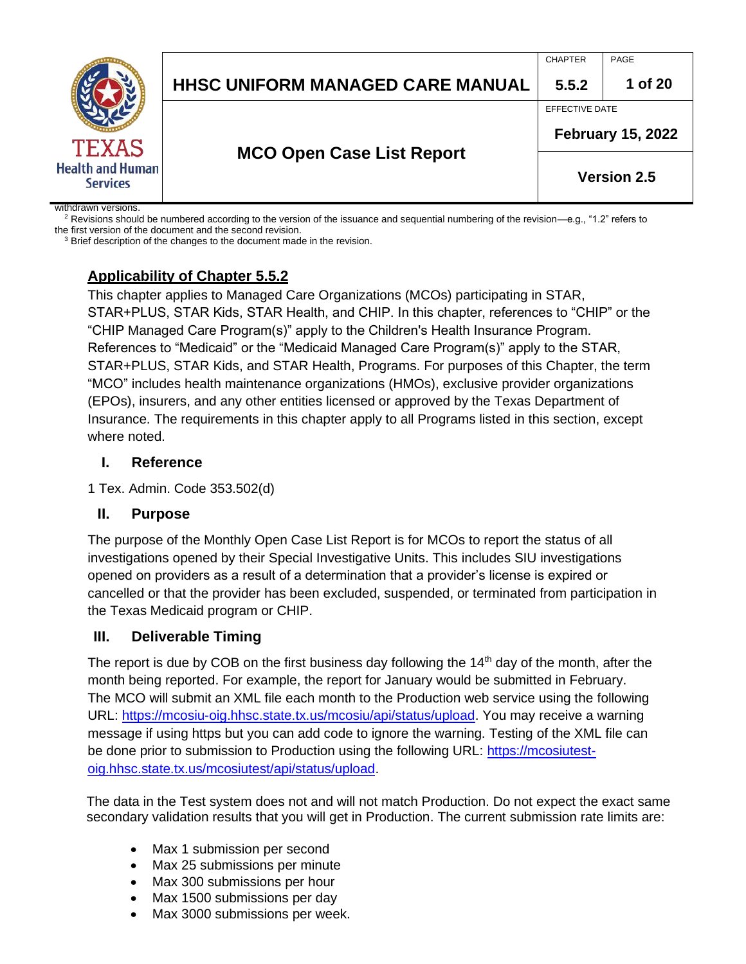|                                            |                                         | <b>CHAPTER</b>     | PAGE                     |  |
|--------------------------------------------|-----------------------------------------|--------------------|--------------------------|--|
|                                            | <b>HHSC UNIFORM MANAGED CARE MANUAL</b> | 5.5.2              | 1 of 20                  |  |
|                                            |                                         | EFFECTIVE DATE     |                          |  |
| <b>TEXAS</b>                               |                                         |                    | <b>February 15, 2022</b> |  |
| <b>Health and Human</b><br><b>Services</b> | <b>MCO Open Case List Report</b>        | <b>Version 2.5</b> |                          |  |
| withdrawn vareione                         |                                         |                    |                          |  |

withdrawn versions.

<sup>2</sup> Revisions should be numbered according to the version of the issuance and sequential numbering of the revision—e.g., "1.2" refers to

the first version of the document and the second revision. <sup>3</sup> Brief description of the changes to the document made in the revision.

## **Applicability of Chapter 5.5.2**

This chapter applies to Managed Care Organizations (MCOs) participating in STAR, STAR+PLUS, STAR Kids, STAR Health, and CHIP. In this chapter, references to "CHIP" or the "CHIP Managed Care Program(s)" apply to the Children's Health Insurance Program. References to "Medicaid" or the "Medicaid Managed Care Program(s)" apply to the STAR, STAR+PLUS, STAR Kids, and STAR Health, Programs. For purposes of this Chapter, the term "MCO" includes health maintenance organizations (HMOs), exclusive provider organizations (EPOs), insurers, and any other entities licensed or approved by the Texas Department of Insurance. The requirements in this chapter apply to all Programs listed in this section, except where noted.

#### **I. Reference**

1 Tex. Admin. Code 353.502(d)

#### **II. Purpose**

The purpose of the Monthly Open Case List Report is for MCOs to report the status of all investigations opened by their Special Investigative Units. This includes SIU investigations opened on providers as a result of a determination that a provider's license is expired or cancelled or that the provider has been excluded, suspended, or terminated from participation in the Texas Medicaid program or CHIP.

#### **III. Deliverable Timing**

The report is due by COB on the first business day following the  $14<sup>th</sup>$  day of the month, after the month being reported. For example, the report for January would be submitted in February. The MCO will submit an XML file each month to the Production web service using the following URL: [https://mcosiu-oig.hhsc.state.tx.us/mcosiu/api/status/upload.](https://mcosiu-oig.hhsc.state.tx.us/mcosiu/api/status/upload) You may receive a warning message if using https but you can add code to ignore the warning. Testing of the XML file can be done prior to submission to Production using the following URL: [https://mcosiutest](https://mcosiutest-oig.hhsc.state.tx.us/mcosiutest/api/status/upload)[oig.hhsc.state.tx.us/mcosiutest/api/status/upload.](https://mcosiutest-oig.hhsc.state.tx.us/mcosiutest/api/status/upload)

The data in the Test system does not and will not match Production. Do not expect the exact same secondary validation results that you will get in Production. The current submission rate limits are:

- Max 1 submission per second
- Max 25 submissions per minute
- Max 300 submissions per hour
- Max 1500 submissions per day
- Max 3000 submissions per week.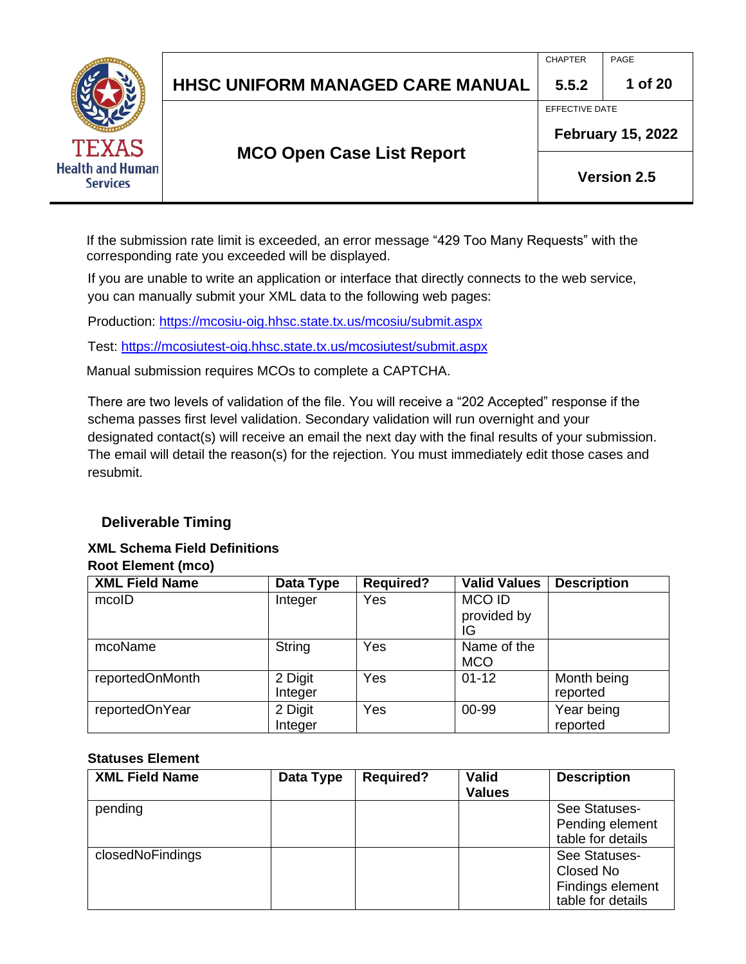|                                                            |                                  | <b>CHAPTER</b> | PAGE                     |
|------------------------------------------------------------|----------------------------------|----------------|--------------------------|
|                                                            | HHSC UNIFORM MANAGED CARE MANUAL | 5.5.2          | 1 of 20                  |
|                                                            |                                  | EFFECTIVE DATE |                          |
| <b>TEXAS</b><br><b>Health and Human</b><br><b>Services</b> |                                  |                | <b>February 15, 2022</b> |
|                                                            | <b>MCO Open Case List Report</b> |                | <b>Version 2.5</b>       |

If the submission rate limit is exceeded, an error message "429 Too Many Requests" with the corresponding rate you exceeded will be displayed.

If you are unable to write an application or interface that directly connects to the web service, you can manually submit your XML data to the following web pages:

Production:<https://mcosiu-oig.hhsc.state.tx.us/mcosiu/submit.aspx>

Test:<https://mcosiutest-oig.hhsc.state.tx.us/mcosiutest/submit.aspx>

Manual submission requires MCOs to complete a CAPTCHA.

There are two levels of validation of the file. You will receive a "202 Accepted" response if the schema passes first level validation. Secondary validation will run overnight and your designated contact(s) will receive an email the next day with the final results of your submission. The email will detail the reason(s) for the rejection. You must immediately edit those cases and resubmit.

### **Deliverable Timing**

#### **XML Schema Field Definitions Root Element (mco)**

| <b>XML Field Name</b> | Data Type          | <b>Required?</b> | <b>Valid Values</b>               | <b>Description</b>      |
|-----------------------|--------------------|------------------|-----------------------------------|-------------------------|
| mcoID                 | Integer            | Yes              | <b>MCOID</b><br>provided by<br>IG |                         |
| mcoName               | String             | Yes              | Name of the<br><b>MCO</b>         |                         |
| reportedOnMonth       | 2 Digit<br>Integer | Yes              | $01 - 12$                         | Month being<br>reported |
| reportedOnYear        | 2 Digit<br>Integer | Yes              | 00-99                             | Year being<br>reported  |

#### **Statuses Element**

| <b>XML Field Name</b> | Data Type | <b>Required?</b> | <b>Valid</b><br><b>Values</b> | <b>Description</b>                                                  |
|-----------------------|-----------|------------------|-------------------------------|---------------------------------------------------------------------|
| pending               |           |                  |                               | See Statuses-<br>Pending element<br>table for details               |
| closedNoFindings      |           |                  |                               | See Statuses-<br>Closed No<br>Findings element<br>table for details |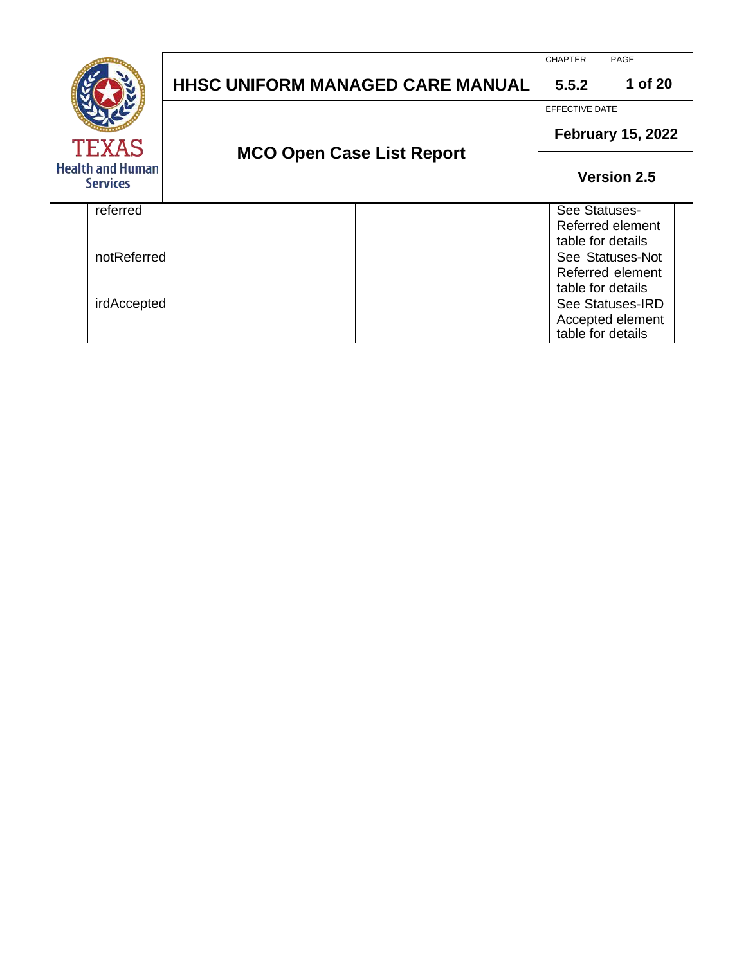|                                            |  |                                  | <b>HHSC UNIFORM MANAGED CARE MANUAL</b> |  | <b>CHAPTER</b><br>5.5.2                           | PAGE<br>1 of 20                       |
|--------------------------------------------|--|----------------------------------|-----------------------------------------|--|---------------------------------------------------|---------------------------------------|
| TEXAS                                      |  | <b>MCO Open Case List Report</b> |                                         |  | <b>EFFECTIVE DATE</b><br><b>February 15, 2022</b> |                                       |
| <b>Health and Human</b><br><b>Services</b> |  |                                  |                                         |  | <b>Version 2.5</b>                                |                                       |
| referred                                   |  |                                  |                                         |  | See Statuses-                                     | Referred element<br>table for details |
| notReferred                                |  |                                  |                                         |  | table for details                                 | See Statuses-Not<br>Referred element  |
| irdAccepted                                |  |                                  |                                         |  | table for details                                 | See Statuses-IRD<br>Accepted element  |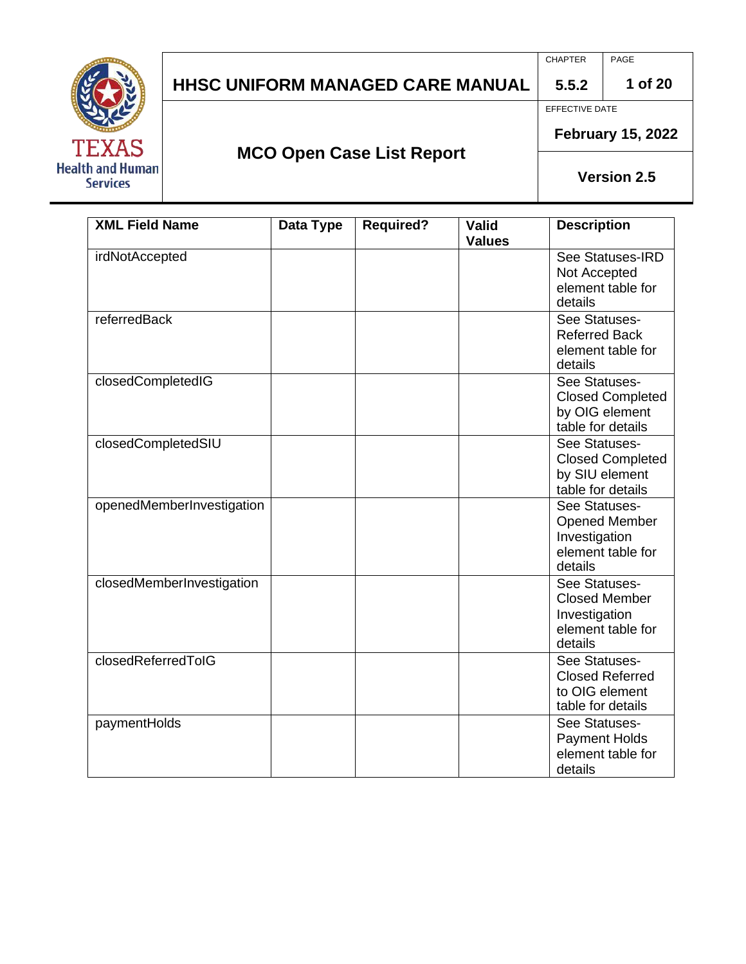

CHAPTER PAGE

**1 of 20**

EFFECTIVE DATE

**5.5.2**

**MCO Open Case List Report**

**February 15, 2022**

| <b>XML Field Name</b>     | Data Type | <b>Required?</b> | <b>Valid</b>  | <b>Description</b>           |
|---------------------------|-----------|------------------|---------------|------------------------------|
|                           |           |                  | <b>Values</b> |                              |
| irdNotAccepted            |           |                  |               | See Statuses-IRD             |
|                           |           |                  |               | Not Accepted                 |
|                           |           |                  |               | element table for            |
|                           |           |                  |               | details                      |
| referredBack              |           |                  |               | See Statuses-                |
|                           |           |                  |               | <b>Referred Back</b>         |
|                           |           |                  |               | element table for            |
|                           |           |                  |               | details                      |
| closedCompletedIG         |           |                  |               | See Statuses-                |
|                           |           |                  |               | <b>Closed Completed</b>      |
|                           |           |                  |               | by OIG element               |
|                           |           |                  |               | table for details            |
| closedCompletedSIU        |           |                  |               | See Statuses-                |
|                           |           |                  |               | <b>Closed Completed</b>      |
|                           |           |                  |               | by SIU element               |
|                           |           |                  |               | table for details            |
| openedMemberInvestigation |           |                  |               | See Statuses-                |
|                           |           |                  |               | <b>Opened Member</b>         |
|                           |           |                  |               | Investigation                |
|                           |           |                  |               | element table for<br>details |
| closedMemberInvestigation |           |                  |               | See Statuses-                |
|                           |           |                  |               | <b>Closed Member</b>         |
|                           |           |                  |               | Investigation                |
|                           |           |                  |               | element table for            |
|                           |           |                  |               | details                      |
| closedReferredTolG        |           |                  |               | See Statuses-                |
|                           |           |                  |               | <b>Closed Referred</b>       |
|                           |           |                  |               | to OIG element               |
|                           |           |                  |               | table for details            |
| paymentHolds              |           |                  |               | See Statuses-                |
|                           |           |                  |               | <b>Payment Holds</b>         |
|                           |           |                  |               | element table for            |
|                           |           |                  |               | details                      |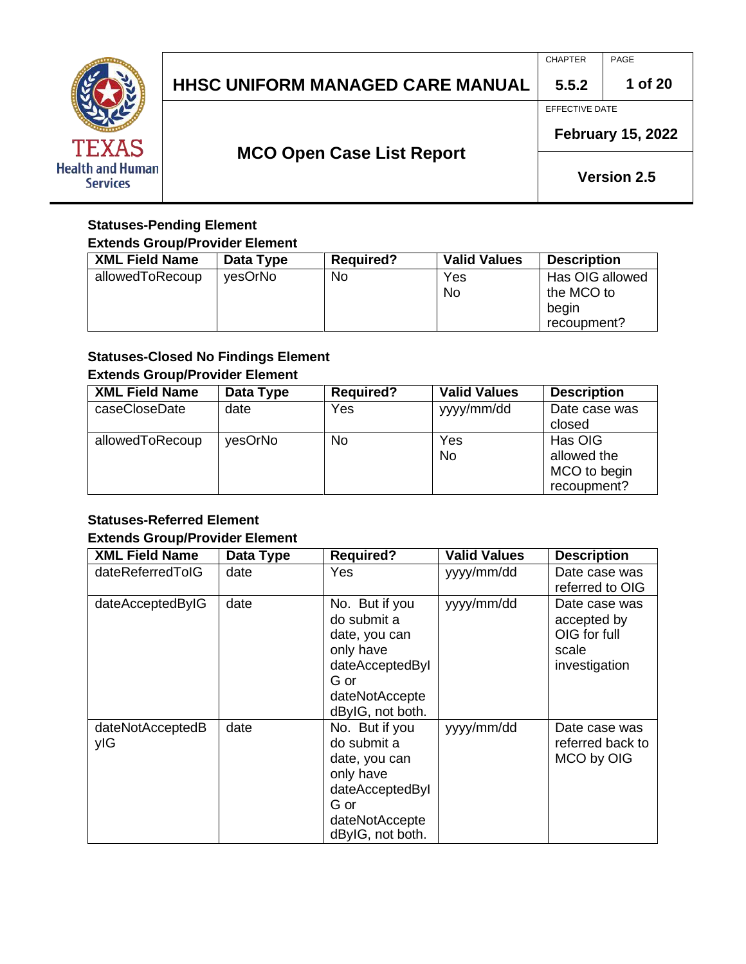

## **HHSC UNIFORM MANAGED CARE MANUAL 5.5.2** EFFECTIVE DATE

**MCO Open Case List Report**

CHAPTER PAGE

**1 of 20**

**February 15, 2022**

**Version 2.5**

#### **Statuses-Pending Element Extends Group/Provider Element**

| <b>XML Field Name</b> | Data Type | <b>Required?</b> | <b>Valid Values</b> | <b>Description</b>            |
|-----------------------|-----------|------------------|---------------------|-------------------------------|
| allowedToRecoup       | vesOrNo   | No               | Yes<br><b>No</b>    | Has OIG allowed<br>the MCO to |
|                       |           |                  |                     | begin<br>recoupment?          |

## **Statuses-Closed No Findings Element**

### **Extends Group/Provider Element**

| <b>XML Field Name</b> | Data Type | <b>Required?</b> | <b>Valid Values</b> | <b>Description</b>                                    |
|-----------------------|-----------|------------------|---------------------|-------------------------------------------------------|
| caseCloseDate         | date      | Yes              | yyyy/mm/dd          | Date case was<br>closed                               |
| allowedToRecoup       | yesOrNo   | No               | Yes<br><b>No</b>    | Has OIG<br>allowed the<br>MCO to begin<br>recoupment? |

## **Statuses-Referred Element**

## **Extends Group/Provider Element**

| <b>XML Field Name</b>   | Data Type | Required?                                                                                                                    | <b>Valid Values</b> | <b>Description</b>                                                     |
|-------------------------|-----------|------------------------------------------------------------------------------------------------------------------------------|---------------------|------------------------------------------------------------------------|
| dateReferredTolG        | date      | <b>Yes</b>                                                                                                                   | yyyy/mm/dd          | Date case was<br>referred to OIG                                       |
| dateAcceptedByIG        | date      | No. But if you<br>do submit a<br>date, you can<br>only have<br>dateAcceptedByl<br>G or<br>dateNotAccepte<br>dByIG, not both. | yyyy/mm/dd          | Date case was<br>accepted by<br>OIG for full<br>scale<br>investigation |
| dateNotAcceptedB<br>ylG | date      | No. But if you<br>do submit a<br>date, you can<br>only have<br>dateAcceptedByl<br>G or<br>dateNotAccepte<br>dByIG, not both. | yyyy/mm/dd          | Date case was<br>referred back to<br>MCO by OIG                        |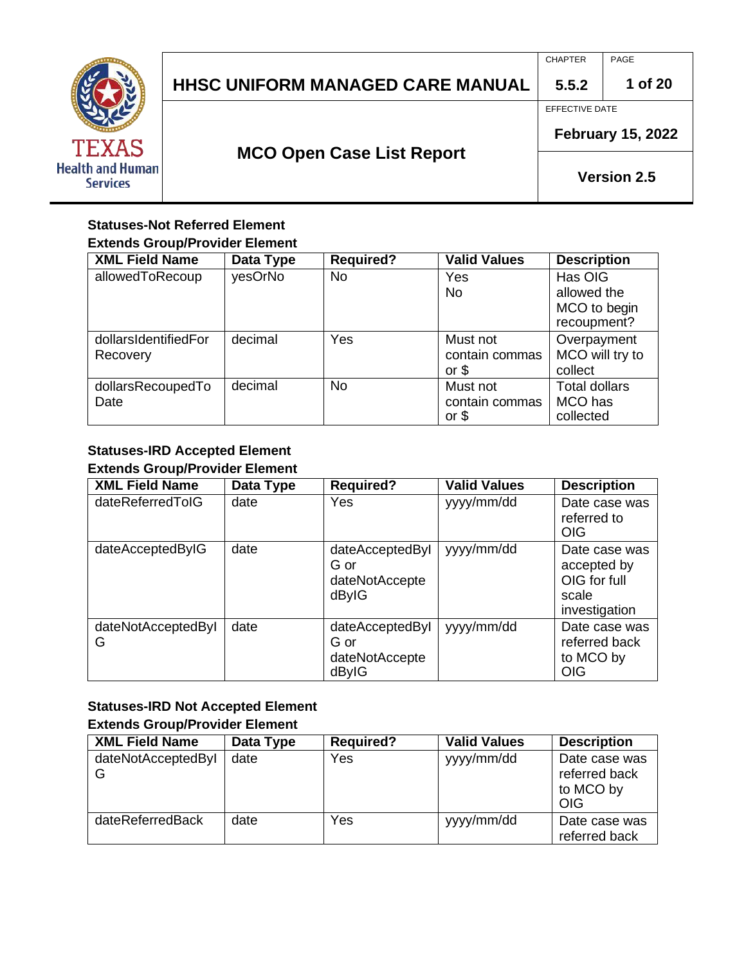

CHAPTER PAGE

**1 of 20**

EFFECTIVE DATE

**5.5.2**

**February 15, 2022**

## **MCO Open Case List Report**

**Version 2.5**

#### **Statuses-Not Referred Element Extends Group/Provider Element**

| <b>XML Field Name</b>            | Data Type | <b>Required?</b> | <b>Valid Values</b>                  | <b>Description</b>                                    |
|----------------------------------|-----------|------------------|--------------------------------------|-------------------------------------------------------|
| allowedToRecoup                  | yesOrNo   | <b>No</b>        | Yes<br>No                            | Has OIG<br>allowed the<br>MCO to begin<br>recoupment? |
| dollarsIdentifiedFor<br>Recovery | decimal   | Yes              | Must not<br>contain commas<br>or $$$ | Overpayment<br>MCO will try to<br>collect             |
| dollarsRecoupedTo<br>Date        | decimal   | <b>No</b>        | Must not<br>contain commas<br>or $$$ | <b>Total dollars</b><br>MCO has<br>collected          |

#### **Statuses-IRD Accepted Element Extends Group/Provider Element**

| <b>XML Field Name</b>   | Data Type | <b>Required?</b>                                   | <b>Valid Values</b> | <b>Description</b>                                                     |
|-------------------------|-----------|----------------------------------------------------|---------------------|------------------------------------------------------------------------|
| dateReferredTolG        | date      | Yes                                                | yyyy/mm/dd          | Date case was<br>referred to<br><b>OIG</b>                             |
| dateAcceptedByIG        | date      | dateAcceptedByl<br>G or<br>dateNotAccepte<br>dByIG | yyyy/mm/dd          | Date case was<br>accepted by<br>OIG for full<br>scale<br>investigation |
| dateNotAcceptedByI<br>G | date      | dateAcceptedByl<br>G or<br>dateNotAccepte<br>dByIG | yyyy/mm/dd          | Date case was<br>referred back<br>to MCO by<br><b>OIG</b>              |

## **Statuses-IRD Not Accepted Element**

#### **Extends Group/Provider Element**

| <b>XML Field Name</b>   | Data Type | <b>Required?</b> | <b>Valid Values</b> | <b>Description</b>                                        |
|-------------------------|-----------|------------------|---------------------|-----------------------------------------------------------|
| dateNotAcceptedByI<br>G | date      | Yes              | yyyy/mm/dd          | Date case was<br>referred back<br>to MCO by<br><b>OIG</b> |
| dateReferredBack        | date      | Yes              | yyyy/mm/dd          | Date case was<br>referred back                            |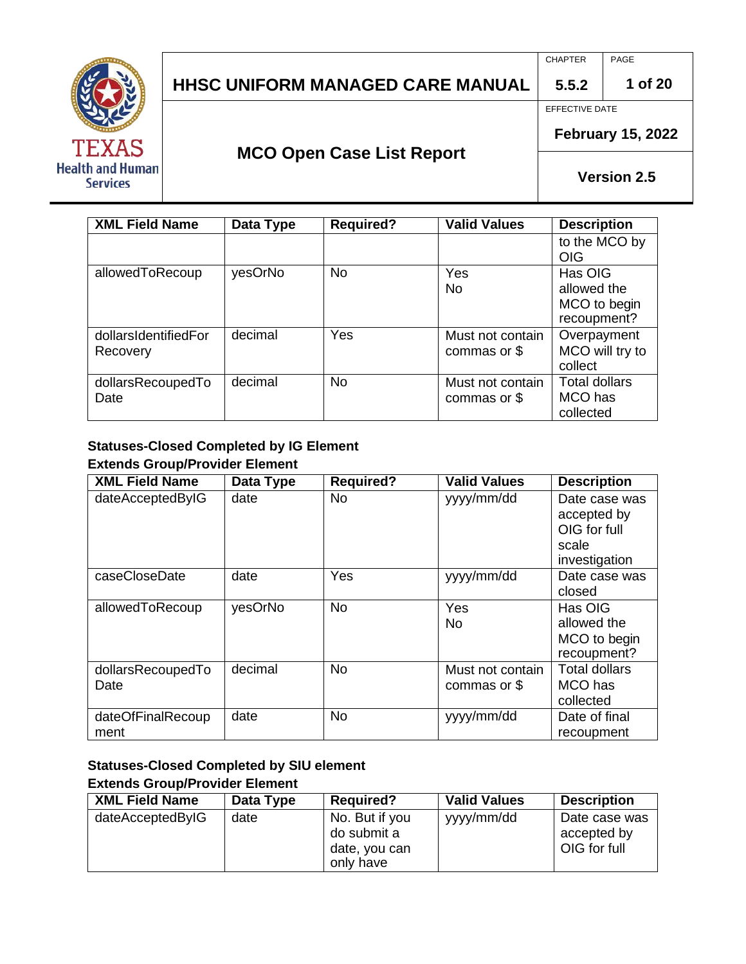

CHAPTER PAGE

**1 of 20**

EFFECTIVE DATE

**5.5.2**

## **MCO Open Case List Report**

**February 15, 2022**

**Version 2.5**

| <b>XML Field Name</b>            | Data Type | <b>Required?</b> | <b>Valid Values</b>              | <b>Description</b>                                    |
|----------------------------------|-----------|------------------|----------------------------------|-------------------------------------------------------|
|                                  |           |                  |                                  | to the MCO by<br>OIG                                  |
| allowedToRecoup                  | yesOrNo   | <b>No</b>        | Yes<br>No.                       | Has OIG<br>allowed the<br>MCO to begin<br>recoupment? |
| dollarsIdentifiedFor<br>Recovery | decimal   | Yes              | Must not contain<br>commas or \$ | Overpayment<br>MCO will try to<br>collect             |
| dollarsRecoupedTo<br>Date        | decimal   | <b>No</b>        | Must not contain<br>commas or \$ | <b>Total dollars</b><br>MCO has<br>collected          |

#### **Statuses-Closed Completed by IG Element Extends Group/Provider Element**

| <b>XML Field Name</b>     | Data Type | <b>Required?</b> | <b>Valid Values</b>              | <b>Description</b>                                                     |
|---------------------------|-----------|------------------|----------------------------------|------------------------------------------------------------------------|
| dateAcceptedByIG          | date      | <b>No</b>        | yyyy/mm/dd                       | Date case was<br>accepted by<br>OIG for full<br>scale<br>investigation |
| caseCloseDate             | date      | Yes              | yyyy/mm/dd                       | Date case was<br>closed                                                |
| allowedToRecoup           | yesOrNo   | <b>No</b>        | Yes<br><b>No</b>                 | Has OIG<br>allowed the<br>MCO to begin<br>recoupment?                  |
| dollarsRecoupedTo<br>Date | decimal   | <b>No</b>        | Must not contain<br>commas or \$ | <b>Total dollars</b><br>MCO has<br>collected                           |
| dateOfFinalRecoup<br>ment | date      | <b>No</b>        | yyyy/mm/dd                       | Date of final<br>recoupment                                            |

### **Statuses-Closed Completed by SIU element Extends Group/Provider Element**

| <b>XML Field Name</b> | Data Type | <b>Required?</b>                                            | <b>Valid Values</b> | <b>Description</b>                           |
|-----------------------|-----------|-------------------------------------------------------------|---------------------|----------------------------------------------|
| dateAcceptedByIG      | date      | No. But if you<br>do submit a<br>date, you can<br>only have | yyyy/mm/dd          | Date case was<br>accepted by<br>OIG for full |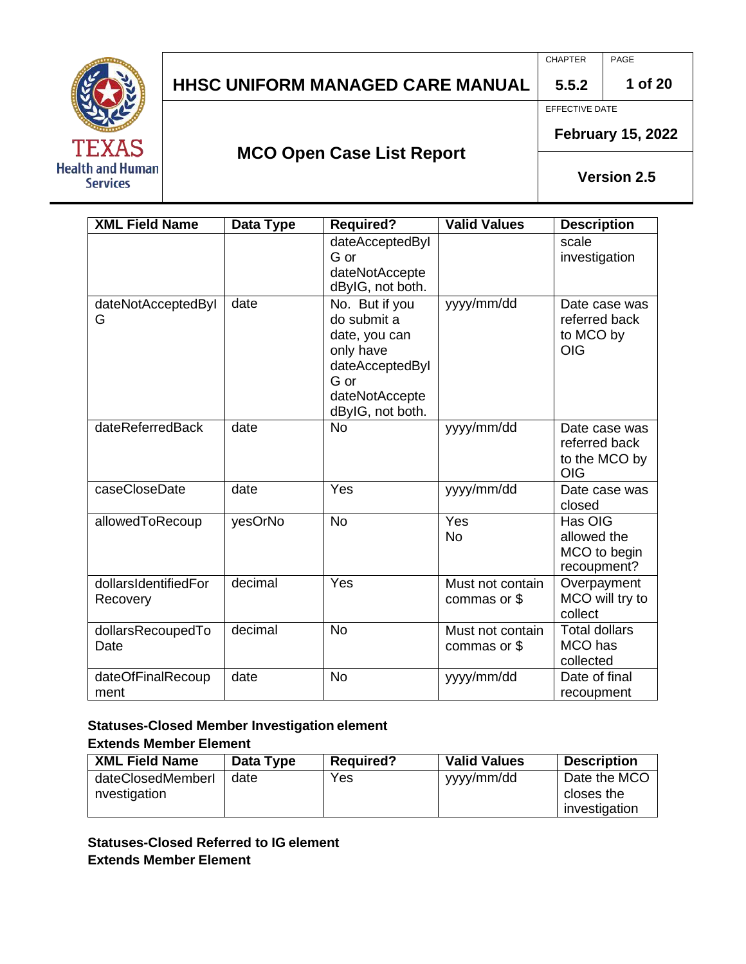

CHAPTER PAGE

**1 of 20**

**5.5.2**

EFFECTIVE DATE

**MCO Open Case List Report**

**February 15, 2022**

**Version 2.5**

| <b>XML Field Name</b>            | <b>Data Type</b> | <b>Required?</b>                                                                                                             | <b>Valid Values</b>              | <b>Description</b>                                            |
|----------------------------------|------------------|------------------------------------------------------------------------------------------------------------------------------|----------------------------------|---------------------------------------------------------------|
|                                  |                  | dateAcceptedByl<br>G or<br>dateNotAccepte<br>dByIG, not both.                                                                |                                  | scale<br>investigation                                        |
| dateNotAcceptedByI<br>G          | date             | No. But if you<br>do submit a<br>date, you can<br>only have<br>dateAcceptedByl<br>G or<br>dateNotAccepte<br>dByIG, not both. | yyyy/mm/dd                       | Date case was<br>referred back<br>to MCO by<br><b>OIG</b>     |
| dateReferredBack                 | date             | <b>No</b>                                                                                                                    | yyyy/mm/dd                       | Date case was<br>referred back<br>to the MCO by<br><b>OIG</b> |
| caseCloseDate                    | date             | Yes                                                                                                                          | yyyy/mm/dd                       | Date case was<br>closed                                       |
| allowedToRecoup                  | yesOrNo          | <b>No</b>                                                                                                                    | Yes<br><b>No</b>                 | Has OIG<br>allowed the<br>MCO to begin<br>recoupment?         |
| dollarsIdentifiedFor<br>Recovery | decimal          | Yes                                                                                                                          | Must not contain<br>commas or \$ | Overpayment<br>MCO will try to<br>collect                     |
| dollarsRecoupedTo<br>Date        | decimal          | <b>No</b>                                                                                                                    | Must not contain<br>commas or \$ | <b>Total dollars</b><br>MCO has<br>collected                  |
| dateOfFinalRecoup<br>ment        | date             | <b>No</b>                                                                                                                    | yyyy/mm/dd                       | Date of final<br>recoupment                                   |

#### **Statuses-Closed Member Investigation element Extends Member Element**

| <b>XML Field Name</b>             | Data Type | <b>Required?</b> | <b>Valid Values</b> | <b>Description</b>                          |
|-----------------------------------|-----------|------------------|---------------------|---------------------------------------------|
| dateClosedMemberI<br>nvestigation | date      | Yes              | yyyy/mm/dd          | Date the MCO<br>closes the<br>investigation |

**Statuses-Closed Referred to IG element Extends Member Element**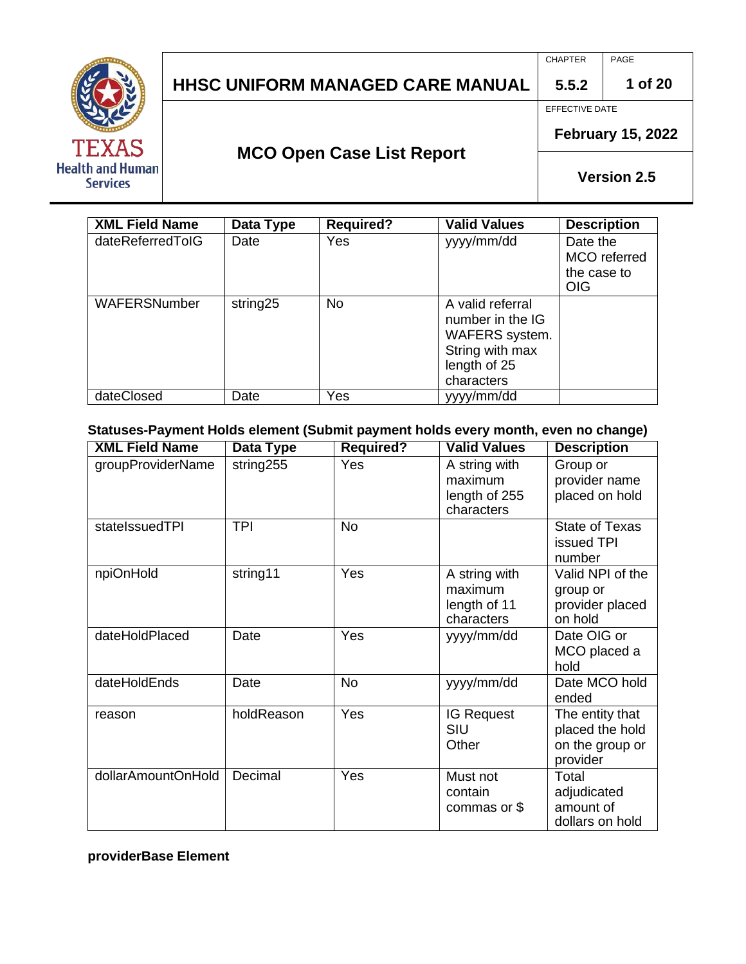

CHAPTER PAGE

**1 of 20**

EFFECTIVE DATE

**5.5.2**

## **MCO Open Case List Report**

**February 15, 2022**

**Version 2.5**

| <b>XML Field Name</b> | Data Type | <b>Required?</b> | <b>Valid Values</b>                                                                                     | <b>Description</b>                                    |
|-----------------------|-----------|------------------|---------------------------------------------------------------------------------------------------------|-------------------------------------------------------|
| dateReferredTolG      | Date      | Yes              | yyyy/mm/dd                                                                                              | Date the<br>MCO referred<br>the case to<br><b>OIG</b> |
| WAFERSNumber          | string25  | <b>No</b>        | A valid referral<br>number in the IG<br>WAFERS system.<br>String with max<br>length of 25<br>characters |                                                       |
| dateClosed            | Date      | Yes              | yyyy/mm/dd                                                                                              |                                                       |

**Statuses-Payment Holds element (Submit payment holds every month, even no change)**

| <b>XML Field Name</b> | Data Type  | <b>Required?</b> | <b>Valid Values</b>                                     | <b>Description</b>                                                |
|-----------------------|------------|------------------|---------------------------------------------------------|-------------------------------------------------------------------|
| groupProviderName     | string255  | Yes              | A string with<br>maximum<br>length of 255<br>characters | Group or<br>provider name<br>placed on hold                       |
| statelssuedTPI        | <b>TPI</b> | <b>No</b>        |                                                         | <b>State of Texas</b><br>issued TPI<br>number                     |
| npiOnHold             | string11   | Yes              | A string with<br>maximum<br>length of 11<br>characters  | Valid NPI of the<br>group or<br>provider placed<br>on hold        |
| dateHoldPlaced        | Date       | Yes              | yyyy/mm/dd                                              | Date OIG or<br>MCO placed a<br>hold                               |
| dateHoldEnds          | Date       | <b>No</b>        | yyyy/mm/dd                                              | Date MCO hold<br>ended                                            |
| reason                | holdReason | Yes              | <b>IG Request</b><br>SIU<br>Other                       | The entity that<br>placed the hold<br>on the group or<br>provider |
| dollarAmountOnHold    | Decimal    | Yes              | Must not<br>contain<br>commas or \$                     | Total<br>adjudicated<br>amount of<br>dollars on hold              |

**providerBase Element**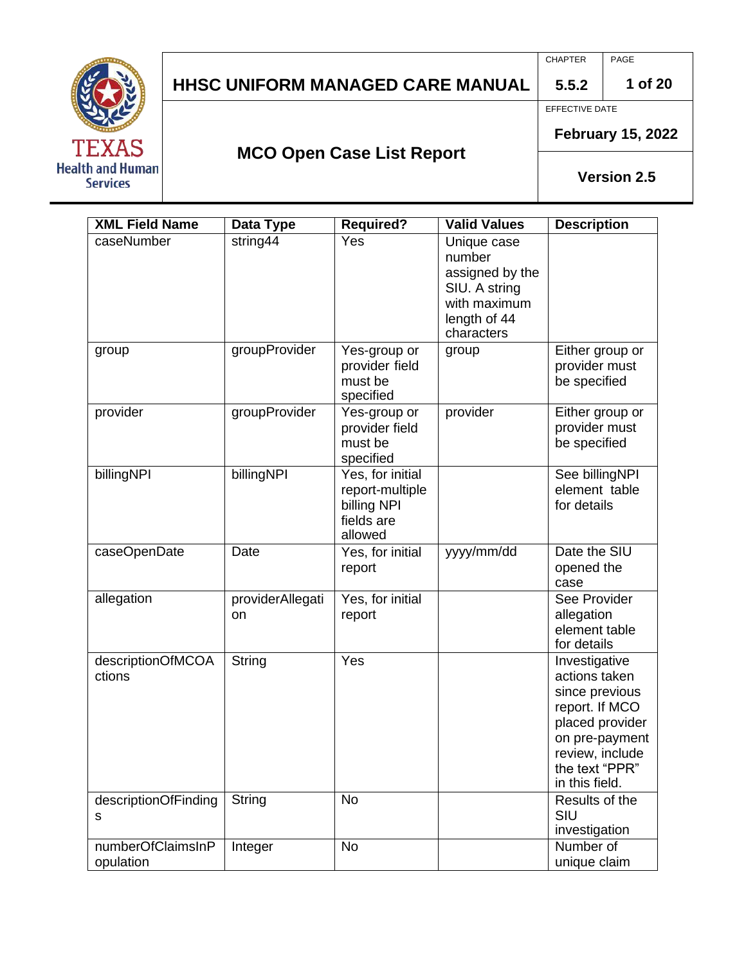

CHAPTER PAGE

**1 of 20**

EFFECTIVE DATE

**5.5.2**

**MCO Open Case List Report**

**February 15, 2022**

| <b>XML Field Name</b>          | Data Type              | <b>Required?</b>                                                            | <b>Valid Values</b>                                                                                     | <b>Description</b>                                                                                                                                             |
|--------------------------------|------------------------|-----------------------------------------------------------------------------|---------------------------------------------------------------------------------------------------------|----------------------------------------------------------------------------------------------------------------------------------------------------------------|
| caseNumber                     | string44               | Yes                                                                         | Unique case<br>number<br>assigned by the<br>SIU. A string<br>with maximum<br>length of 44<br>characters |                                                                                                                                                                |
| group                          | groupProvider          | Yes-group or<br>provider field<br>must be<br>specified                      | group                                                                                                   | Either group or<br>provider must<br>be specified                                                                                                               |
| provider                       | groupProvider          | Yes-group or<br>provider field<br>must be<br>specified                      | provider                                                                                                | Either group or<br>provider must<br>be specified                                                                                                               |
| billingNPI                     | billingNPI             | Yes, for initial<br>report-multiple<br>billing NPI<br>fields are<br>allowed |                                                                                                         | See billingNPI<br>element table<br>for details                                                                                                                 |
| caseOpenDate                   | Date                   | Yes, for initial<br>report                                                  | yyyy/mm/dd                                                                                              | Date the SIU<br>opened the<br>case                                                                                                                             |
| allegation                     | providerAllegati<br>on | Yes, for initial<br>report                                                  |                                                                                                         | See Provider<br>allegation<br>element table<br>for details                                                                                                     |
| descriptionOfMCOA<br>ctions    | String                 | Yes                                                                         |                                                                                                         | Investigative<br>actions taken<br>since previous<br>report. If MCO<br>placed provider<br>on pre-payment<br>review, include<br>the text "PPR"<br>in this field. |
| descriptionOfFinding<br>s      | String                 | <b>No</b>                                                                   |                                                                                                         | Results of the<br>SIU<br>investigation                                                                                                                         |
| numberOfClaimsInP<br>opulation | Integer                | <b>No</b>                                                                   |                                                                                                         | Number of<br>unique claim                                                                                                                                      |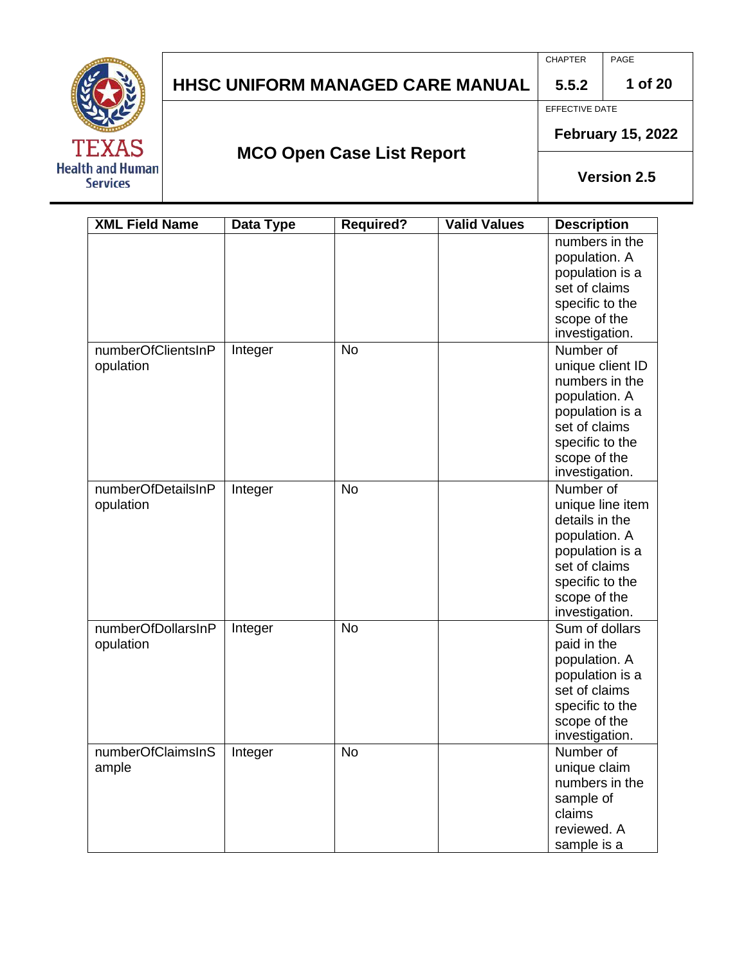CHAPTER PAGE

**1 of 20**

EFFECTIVE DATE

**5.5.2**



## **MCO Open Case List Report**

**February 15, 2022**

| <b>XML Field Name</b>           | <b>Data Type</b> | <b>Required?</b> | <b>Valid Values</b> | <b>Description</b>                                                                                                                                        |
|---------------------------------|------------------|------------------|---------------------|-----------------------------------------------------------------------------------------------------------------------------------------------------------|
|                                 |                  |                  |                     | numbers in the<br>population. A<br>population is a<br>set of claims<br>specific to the<br>scope of the<br>investigation.                                  |
| numberOfClientsInP<br>opulation | Integer          | <b>No</b>        |                     | Number of<br>unique client ID<br>numbers in the<br>population. A<br>population is a<br>set of claims<br>specific to the<br>scope of the<br>investigation. |
| numberOfDetailsInP<br>opulation | Integer          | <b>No</b>        |                     | Number of<br>unique line item<br>details in the<br>population. A<br>population is a<br>set of claims<br>specific to the<br>scope of the<br>investigation. |
| numberOfDollarsInP<br>opulation | Integer          | <b>No</b>        |                     | Sum of dollars<br>paid in the<br>population. A<br>population is a<br>set of claims<br>specific to the<br>scope of the<br>investigation.                   |
| numberOfClaimsInS<br>ample      | Integer          | <b>No</b>        |                     | Number of<br>unique claim<br>numbers in the<br>sample of<br>claims<br>reviewed. A<br>sample is a                                                          |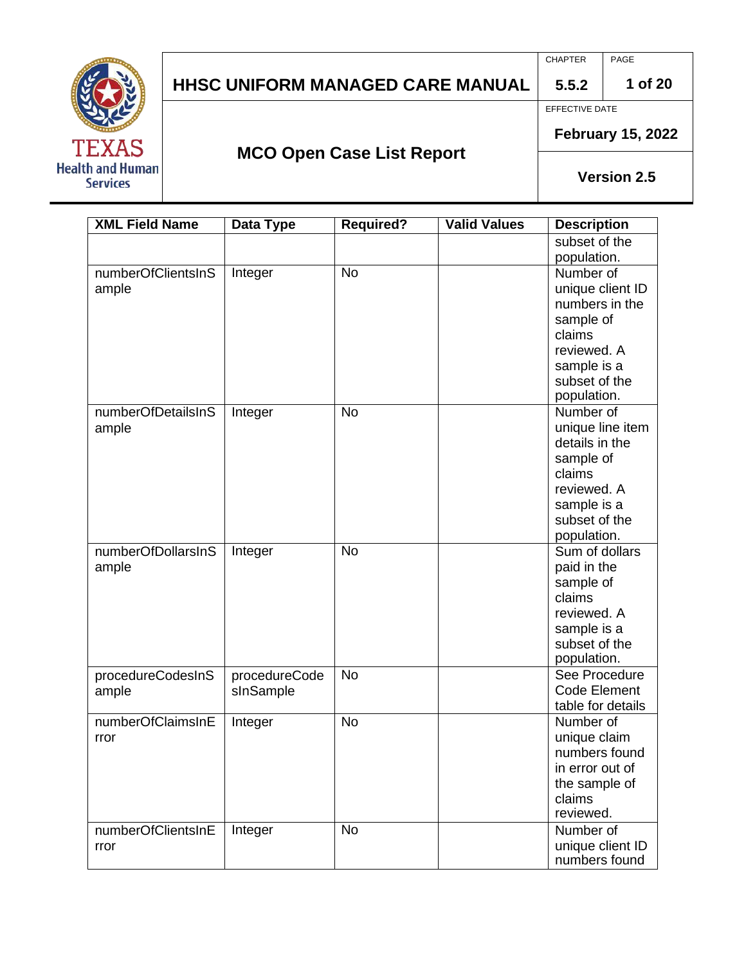# TE **Health and Human Services**

## **HHSC UNIFORM MANAGED CARE MANUAL**

CHAPTER PAGE

**1 of 20**

EFFECTIVE DATE

**5.5.2**

**MCO Open Case List Report**

**February 15, 2022**

| <b>XML Field Name</b> | Data Type     | <b>Required?</b> | <b>Valid Values</b> | <b>Description</b>                |
|-----------------------|---------------|------------------|---------------------|-----------------------------------|
|                       |               |                  |                     | subset of the                     |
|                       |               |                  |                     | population.                       |
| numberOfClientsInS    | Integer       | <b>No</b>        |                     | Number of                         |
| ample                 |               |                  |                     | unique client ID                  |
|                       |               |                  |                     | numbers in the                    |
|                       |               |                  |                     | sample of                         |
|                       |               |                  |                     | claims                            |
|                       |               |                  |                     | reviewed. A                       |
|                       |               |                  |                     | sample is a                       |
|                       |               |                  |                     | subset of the                     |
|                       |               |                  |                     | population.                       |
| numberOfDetailsInS    | Integer       | <b>No</b>        |                     | Number of                         |
| ample                 |               |                  |                     | unique line item                  |
|                       |               |                  |                     | details in the                    |
|                       |               |                  |                     | sample of                         |
|                       |               |                  |                     | claims                            |
|                       |               |                  |                     | reviewed. A                       |
|                       |               |                  |                     | sample is a                       |
|                       |               |                  |                     | subset of the                     |
|                       |               |                  |                     | population.                       |
| numberOfDollarsInS    | Integer       | <b>No</b>        |                     | Sum of dollars                    |
| ample                 |               |                  |                     | paid in the                       |
|                       |               |                  |                     | sample of                         |
|                       |               |                  |                     | claims                            |
|                       |               |                  |                     | reviewed. A                       |
|                       |               |                  |                     | sample is a                       |
|                       |               |                  |                     | subset of the                     |
|                       |               |                  |                     | population.                       |
| procedureCodesInS     | procedureCode | <b>No</b>        |                     | See Procedure                     |
| ample                 | sInSample     |                  |                     | Code Element                      |
|                       |               |                  |                     | table for details                 |
| numberOfClaimsInE     | Integer       | <b>No</b>        |                     | Number of                         |
| rror                  |               |                  |                     | unique claim                      |
|                       |               |                  |                     | numbers found                     |
|                       |               |                  |                     | in error out of                   |
|                       |               |                  |                     | the sample of                     |
|                       |               |                  |                     | claims<br>reviewed.               |
|                       |               |                  |                     |                                   |
| numberOfClientsInE    | Integer       | <b>No</b>        |                     | Number of                         |
| rror                  |               |                  |                     | unique client ID<br>numbers found |
|                       |               |                  |                     |                                   |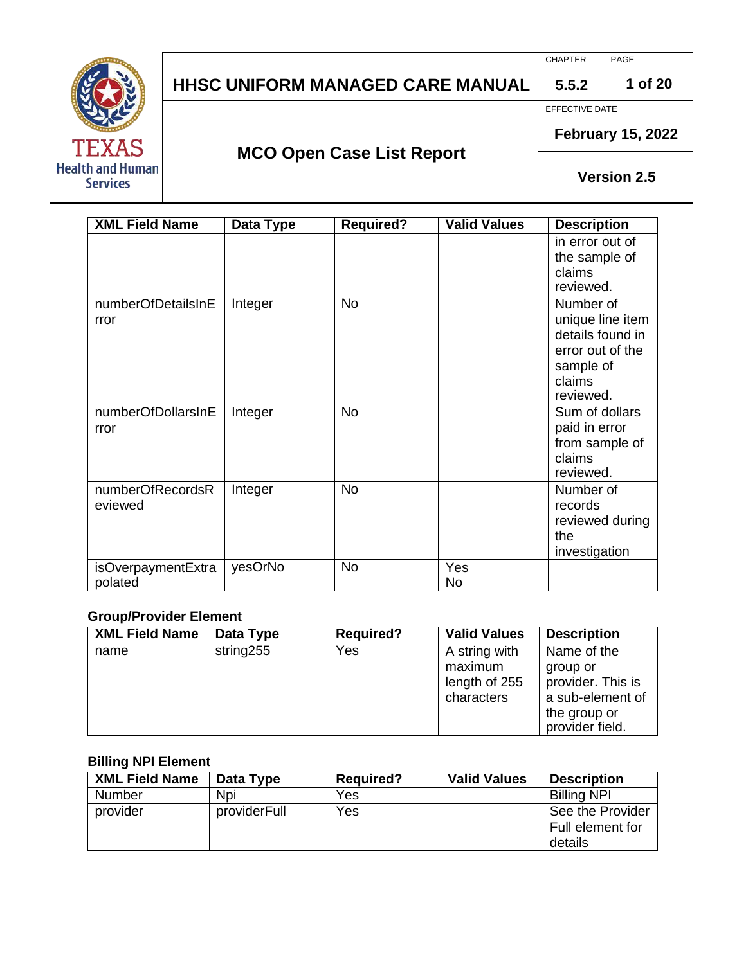# TΕ **Health and Human Services**

## **HHSC UNIFORM MANAGED CARE MANUAL**

CHAPTER PAGE

**1 of 20**

EFFECTIVE DATE

**5.5.2**

**MCO Open Case List Report**

**February 15, 2022**

**Version 2.5**

| <b>XML Field Name</b>         | Data Type | <b>Required?</b> | <b>Valid Values</b> | <b>Description</b>                                                                                        |
|-------------------------------|-----------|------------------|---------------------|-----------------------------------------------------------------------------------------------------------|
|                               |           |                  |                     | in error out of<br>the sample of<br>claims<br>reviewed.                                                   |
| numberOfDetailsInE<br>rror    | Integer   | <b>No</b>        |                     | Number of<br>unique line item<br>details found in<br>error out of the<br>sample of<br>claims<br>reviewed. |
| numberOfDollarsInE<br>rror    | Integer   | <b>No</b>        |                     | Sum of dollars<br>paid in error<br>from sample of<br>claims<br>reviewed.                                  |
| numberOfRecordsR<br>eviewed   | Integer   | <b>No</b>        |                     | Number of<br>records<br>reviewed during<br>the<br>investigation                                           |
| isOverpaymentExtra<br>polated | yesOrNo   | <b>No</b>        | Yes<br>No           |                                                                                                           |

#### **Group/Provider Element**

| <b>XML Field Name</b> | Data Type | <b>Required?</b> | <b>Valid Values</b> | <b>Description</b> |
|-----------------------|-----------|------------------|---------------------|--------------------|
| name                  | string255 | Yes              | A string with       | Name of the        |
|                       |           |                  | maximum             | group or           |
|                       |           |                  | length of 255       | provider. This is  |
|                       |           |                  | characters          | a sub-element of   |
|                       |           |                  |                     | the group or       |
|                       |           |                  |                     | provider field.    |

#### **Billing NPI Element**

| <b>XML Field Name</b> | Data Type    | <b>Required?</b> | <b>Valid Values</b> | <b>Description</b>                              |
|-----------------------|--------------|------------------|---------------------|-------------------------------------------------|
| Number                | Npi          | Yes              |                     | <b>Billing NPI</b>                              |
| provider              | providerFull | Yes              |                     | See the Provider<br>Full element for<br>details |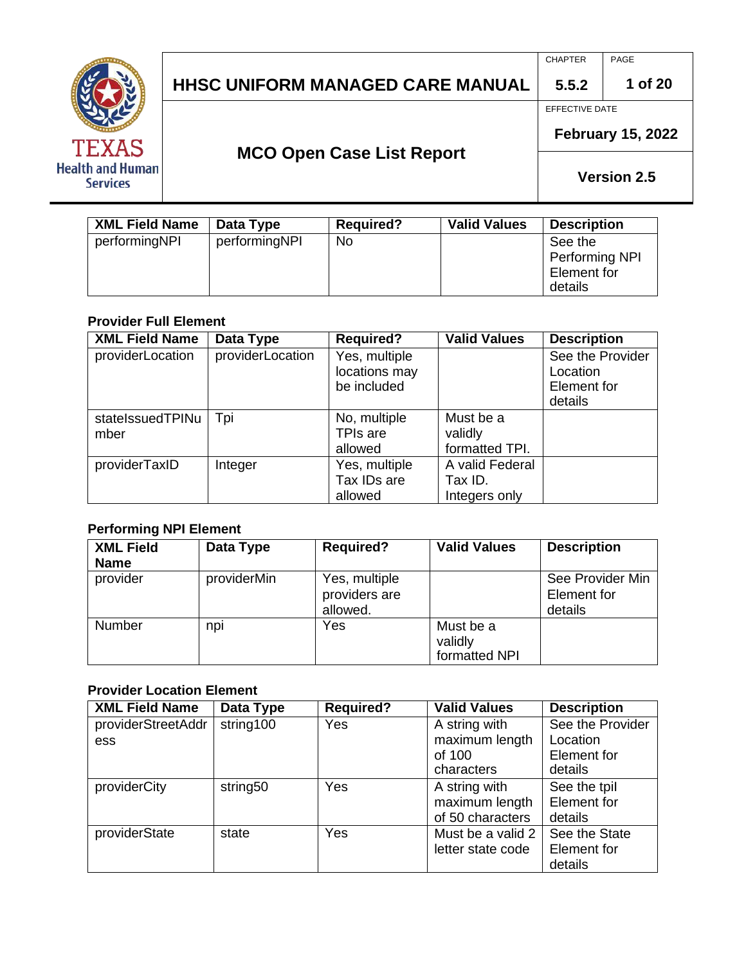

CHAPTER PAGE

**1 of 20**

EFFECTIVE DATE

**5.5.2**

**MCO Open Case List Report**

**February 15, 2022**

**Version 2.5**

| <b>XML Field Name</b> | Data Type     | <b>Required?</b> | <b>Valid Values</b> | <b>Description</b>                                  |
|-----------------------|---------------|------------------|---------------------|-----------------------------------------------------|
| performingNPI         | performingNPI | No               |                     | See the<br>Performing NPI<br>Element for<br>details |

#### **Provider Full Element**

| <b>XML Field Name</b> | Data Type        | <b>Required?</b> | <b>Valid Values</b> | <b>Description</b> |
|-----------------------|------------------|------------------|---------------------|--------------------|
| providerLocation      | providerLocation | Yes, multiple    |                     | See the Provider   |
|                       |                  | locations may    |                     | Location           |
|                       |                  | be included      |                     | Element for        |
|                       |                  |                  |                     | details            |
| statelssuedTPINu      | Tpi              | No, multiple     | Must be a           |                    |
| mber                  |                  | TPIs are         | validly             |                    |
|                       |                  | allowed          | formatted TPI.      |                    |
| providerTaxID         | Integer          | Yes, multiple    | A valid Federal     |                    |
|                       |                  | Tax IDs are      | Tax ID.             |                    |
|                       |                  | allowed          | Integers only       |                    |

#### **Performing NPI Element**

| <b>XML Field</b><br><b>Name</b> | Data Type   | <b>Required?</b>                           | <b>Valid Values</b>                   | <b>Description</b>                         |
|---------------------------------|-------------|--------------------------------------------|---------------------------------------|--------------------------------------------|
| provider                        | providerMin | Yes, multiple<br>providers are<br>allowed. |                                       | See Provider Min<br>Element for<br>details |
| <b>Number</b>                   | npi         | Yes                                        | Must be a<br>validly<br>formatted NPI |                                            |

#### **Provider Location Element**

| <b>XML Field Name</b> | Data Type | <b>Required?</b> | <b>Valid Values</b> | <b>Description</b> |
|-----------------------|-----------|------------------|---------------------|--------------------|
| providerStreetAddr    | string100 | Yes              | A string with       | See the Provider   |
| ess                   |           |                  | maximum length      | Location           |
|                       |           |                  | of 100              | Element for        |
|                       |           |                  | characters          | details            |
| providerCity          | string50  | Yes              | A string with       | See the tpil       |
|                       |           |                  | maximum length      | Element for        |
|                       |           |                  | of 50 characters    | details            |
| providerState         | state     | Yes              | Must be a valid 2   | See the State      |
|                       |           |                  | letter state code   | Element for        |
|                       |           |                  |                     | details            |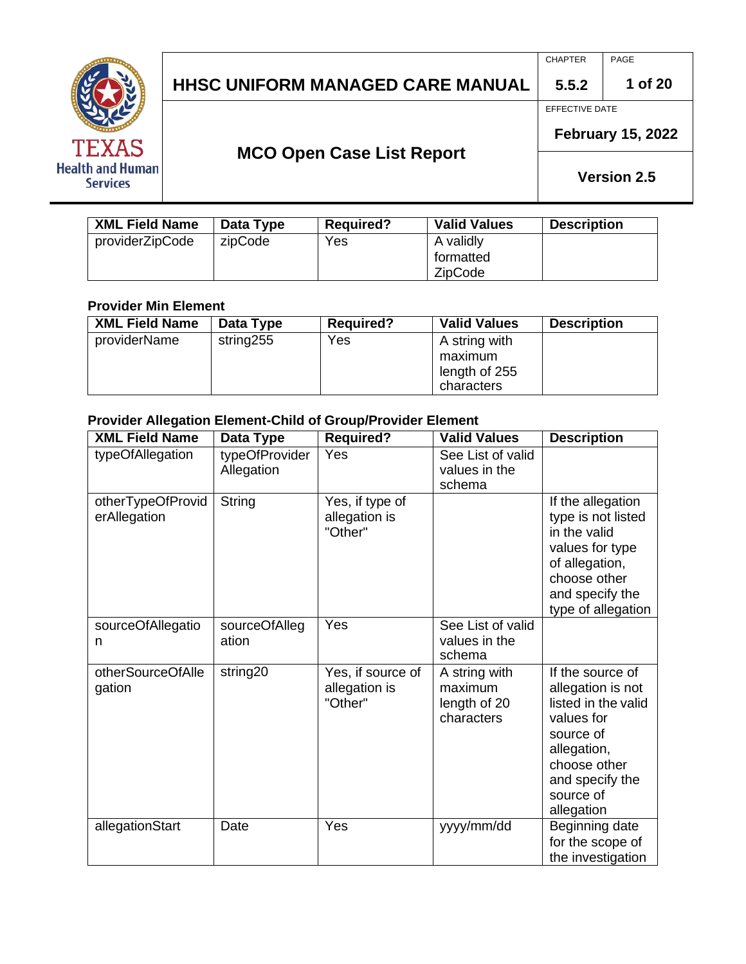

CHAPTER PAGE

> **5.5.2 1 of 20**

EFFECTIVE DATE

**MCO Open Case List Report**

**February 15, 2022**

**Version 2.5**

| <b>XML Field Name</b> | Data Type | <b>Required?</b> | <b>Valid Values</b>                      | <b>Description</b> |
|-----------------------|-----------|------------------|------------------------------------------|--------------------|
| providerZipCode       | zipCode   | Yes              | A validly<br>formatted<br><b>ZipCode</b> |                    |

#### **Provider Min Element**

| <b>XML Field Name</b> | Data Type | <b>Required?</b> | <b>Valid Values</b> | <b>Description</b> |
|-----------------------|-----------|------------------|---------------------|--------------------|
| providerName          | string255 | Yes              | A string with       |                    |
|                       |           |                  | maximum             |                    |
|                       |           |                  | length of 255       |                    |
|                       |           |                  | characters          |                    |

#### **Provider Allegation Element-Child of Group/Provider Element**

| <b>XML Field Name</b>             | Data Type                    | Required?                                     | <b>Valid Values</b>                                    | <b>Description</b>                                                                                                                                                   |
|-----------------------------------|------------------------------|-----------------------------------------------|--------------------------------------------------------|----------------------------------------------------------------------------------------------------------------------------------------------------------------------|
| typeOfAllegation                  | typeOfProvider<br>Allegation | Yes                                           | See List of valid<br>values in the<br>schema           |                                                                                                                                                                      |
| otherTypeOfProvid<br>erAllegation | String                       | Yes, if type of<br>allegation is<br>"Other"   |                                                        | If the allegation<br>type is not listed<br>in the valid<br>values for type<br>of allegation,<br>choose other<br>and specify the<br>type of allegation                |
| sourceOfAllegatio<br>n            | sourceOfAlleg<br>ation       | Yes                                           | See List of valid<br>values in the<br>schema           |                                                                                                                                                                      |
| otherSourceOfAlle<br>gation       | string20                     | Yes, if source of<br>allegation is<br>"Other" | A string with<br>maximum<br>length of 20<br>characters | If the source of<br>allegation is not<br>listed in the valid<br>values for<br>source of<br>allegation,<br>choose other<br>and specify the<br>source of<br>allegation |
| allegationStart                   | Date                         | Yes                                           | yyyy/mm/dd                                             | Beginning date<br>for the scope of<br>the investigation                                                                                                              |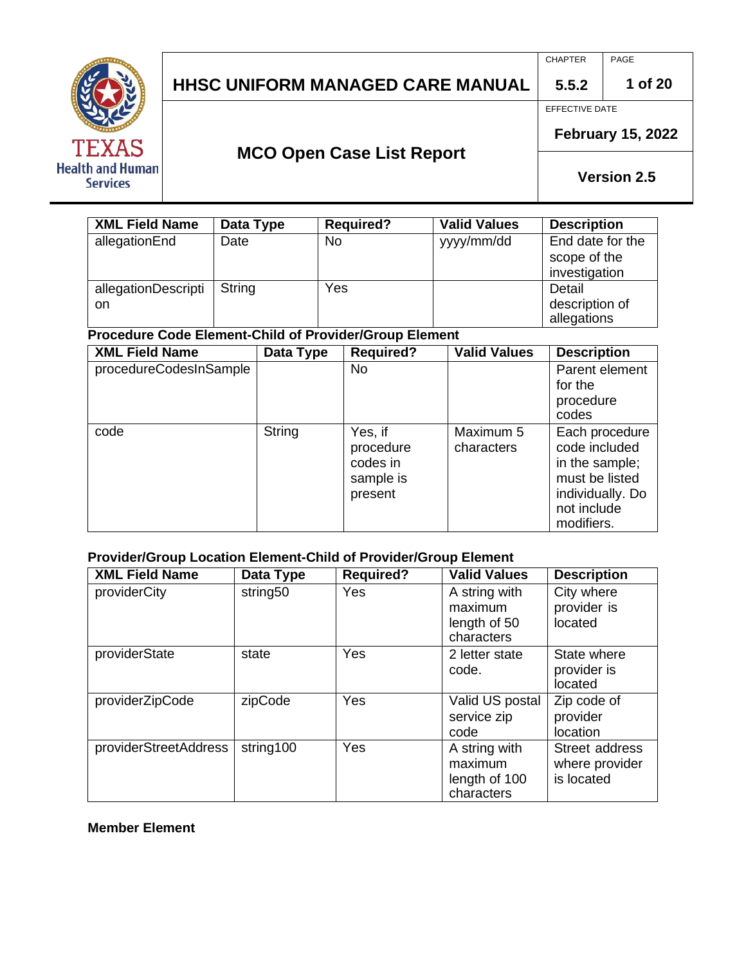

CHAPTER PAGE

**1 of 20**

**5.5.2** EFFECTIVE DATE

## **MCO Open Case List Report**

**February 15, 2022**

**Version 2.5**

| <b>XML Field Name</b>      | Data Type | <b>Required?</b> | <b>Valid Values</b> | <b>Description</b>                                |
|----------------------------|-----------|------------------|---------------------|---------------------------------------------------|
| allegationEnd              | Date      | <b>No</b>        | yyyy/mm/dd          | End date for the<br>scope of the<br>investigation |
| allegationDescripti<br>on. | String    | Yes              |                     | Detail<br>description of<br>allegations           |

## **Procedure Code Element-Child of Provider/Group Element**

| <b>XML Field Name</b>  | Data Type | <b>Required?</b>                                         | <b>Valid Values</b>     | <b>Description</b>                                                                                                   |
|------------------------|-----------|----------------------------------------------------------|-------------------------|----------------------------------------------------------------------------------------------------------------------|
| procedureCodesInSample |           | <b>No</b>                                                |                         | Parent element<br>for the<br>procedure<br>codes                                                                      |
| code                   | String    | Yes, if<br>procedure<br>codes in<br>sample is<br>present | Maximum 5<br>characters | Each procedure<br>code included<br>in the sample;<br>must be listed<br>individually. Do<br>not include<br>modifiers. |

### **Provider/Group Location Element-Child of Provider/Group Element**

| <b>XML Field Name</b> | Data Type | <b>Required?</b> | <b>Valid Values</b>                                     | <b>Description</b>                             |
|-----------------------|-----------|------------------|---------------------------------------------------------|------------------------------------------------|
| providerCity          | string50  | Yes              | A string with<br>maximum<br>length of 50<br>characters  | City where<br>provider is<br>located           |
| providerState         | state     | <b>Yes</b>       | 2 letter state<br>code.                                 | State where<br>provider is<br>located          |
| providerZipCode       | zipCode   | Yes              | Valid US postal<br>service zip<br>code                  | Zip code of<br>provider<br>location            |
| providerStreetAddress | string100 | Yes              | A string with<br>maximum<br>length of 100<br>characters | Street address<br>where provider<br>is located |

#### **Member Element**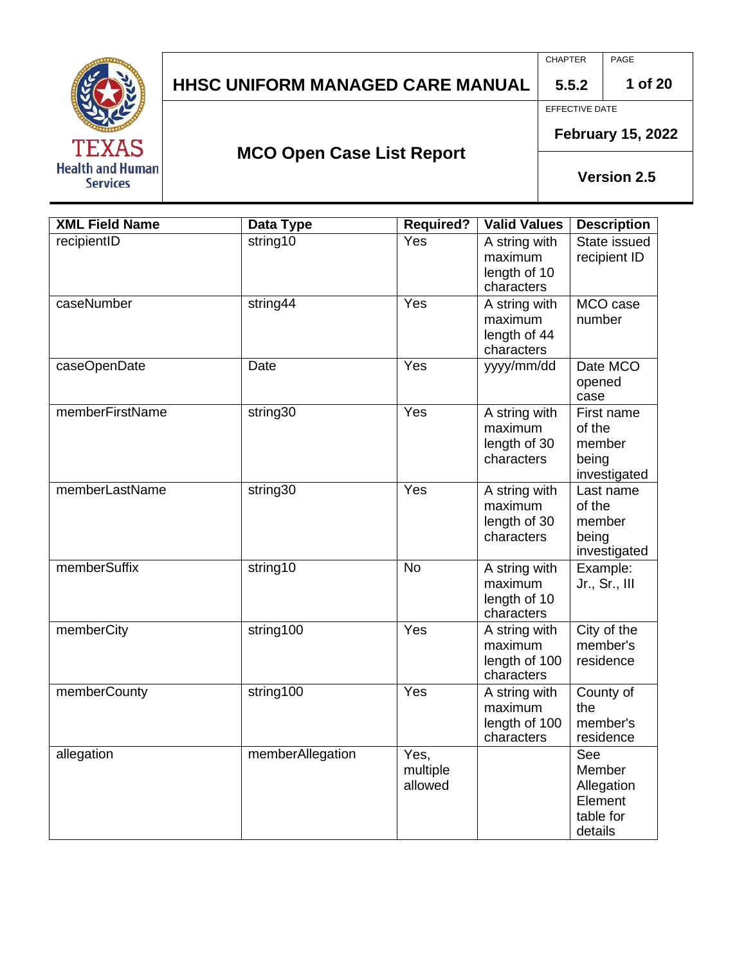

CHAPTER PAGE

**1 of 20**

**5.5.2** EFFECTIVE DATE

**MCO Open Case List Report**

**February 15, 2022**

| <b>XML Field Name</b> | <b>Data Type</b> | <b>Required?</b>            | <b>Valid Values</b>                                     | <b>Description</b>                                             |
|-----------------------|------------------|-----------------------------|---------------------------------------------------------|----------------------------------------------------------------|
| recipientID           | string10         | Yes                         | A string with<br>maximum<br>length of 10<br>characters  | State issued<br>recipient ID                                   |
| caseNumber            | string44         | Yes                         | A string with<br>maximum<br>length of 44<br>characters  | MCO case<br>number                                             |
| caseOpenDate          | Date             | Yes                         | yyyy/mm/dd                                              | Date MCO<br>opened<br>case                                     |
| memberFirstName       | string30         | Yes                         | A string with<br>maximum<br>length of 30<br>characters  | First name<br>of the<br>member<br>being<br>investigated        |
| memberLastName        | string30         | $\overline{Yes}$            | A string with<br>maximum<br>length of 30<br>characters  | Last name<br>of the<br>member<br>being<br>investigated         |
| memberSuffix          | string10         | <b>No</b>                   | A string with<br>maximum<br>length of 10<br>characters  | Example:<br>Jr., Sr., III                                      |
| memberCity            | string100        | Yes                         | A string with<br>maximum<br>length of 100<br>characters | City of the<br>member's<br>residence                           |
| memberCounty          | string100        | Yes                         | A string with<br>maximum<br>length of 100<br>characters | County of<br>the<br>member's<br>residence                      |
| allegation            | memberAllegation | Yes,<br>multiple<br>allowed |                                                         | See<br>Member<br>Allegation<br>Element<br>table for<br>details |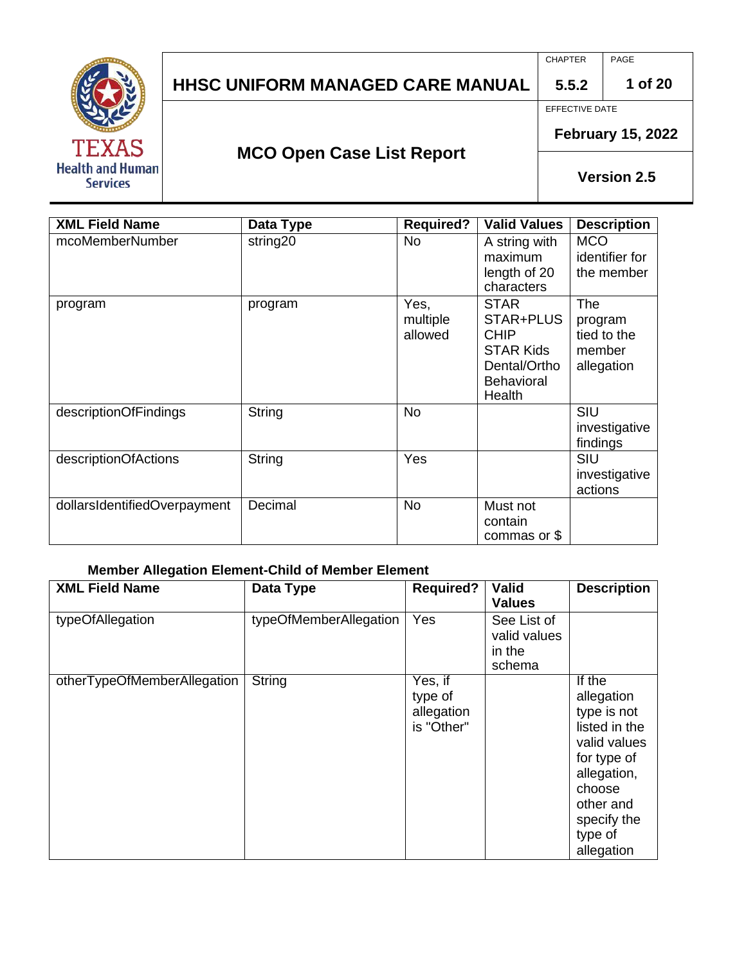

CHAPTER PAGE

**1 of 20**

EFFECTIVE DATE

**5.5.2**

**MCO Open Case List Report**

**February 15, 2022**

**Version 2.5**

| <b>XML Field Name</b>        | <b>Data Type</b> | <b>Required?</b>            | <b>Valid Values</b>                                                                                        | <b>Description</b>                                    |
|------------------------------|------------------|-----------------------------|------------------------------------------------------------------------------------------------------------|-------------------------------------------------------|
| mcoMemberNumber              | string20         | <b>No</b>                   | A string with<br>maximum<br>length of 20<br>characters                                                     | <b>MCO</b><br>identifier for<br>the member            |
| program                      | program          | Yes,<br>multiple<br>allowed | <b>STAR</b><br>STAR+PLUS<br><b>CHIP</b><br><b>STAR Kids</b><br>Dental/Ortho<br><b>Behavioral</b><br>Health | The<br>program<br>tied to the<br>member<br>allegation |
| descriptionOfFindings        | String           | <b>No</b>                   |                                                                                                            | SIU<br>investigative<br>findings                      |
| descriptionOfActions         | String           | Yes                         |                                                                                                            | SIU<br>investigative<br>actions                       |
| dollarsIdentifiedOverpayment | Decimal          | <b>No</b>                   | Must not<br>contain<br>commas or \$                                                                        |                                                       |

#### **Member Allegation Element-Child of Member Element**

| <b>XML Field Name</b>       | Data Type              | <b>Required?</b>                               | <b>Valid</b><br><b>Values</b>                   | <b>Description</b>                                                                                                                                                |
|-----------------------------|------------------------|------------------------------------------------|-------------------------------------------------|-------------------------------------------------------------------------------------------------------------------------------------------------------------------|
| typeOfAllegation            | typeOfMemberAllegation | Yes                                            | See List of<br>valid values<br>in the<br>schema |                                                                                                                                                                   |
| otherTypeOfMemberAllegation | String                 | Yes, if<br>type of<br>allegation<br>is "Other" |                                                 | If the<br>allegation<br>type is not<br>listed in the<br>valid values<br>for type of<br>allegation,<br>choose<br>other and<br>specify the<br>type of<br>allegation |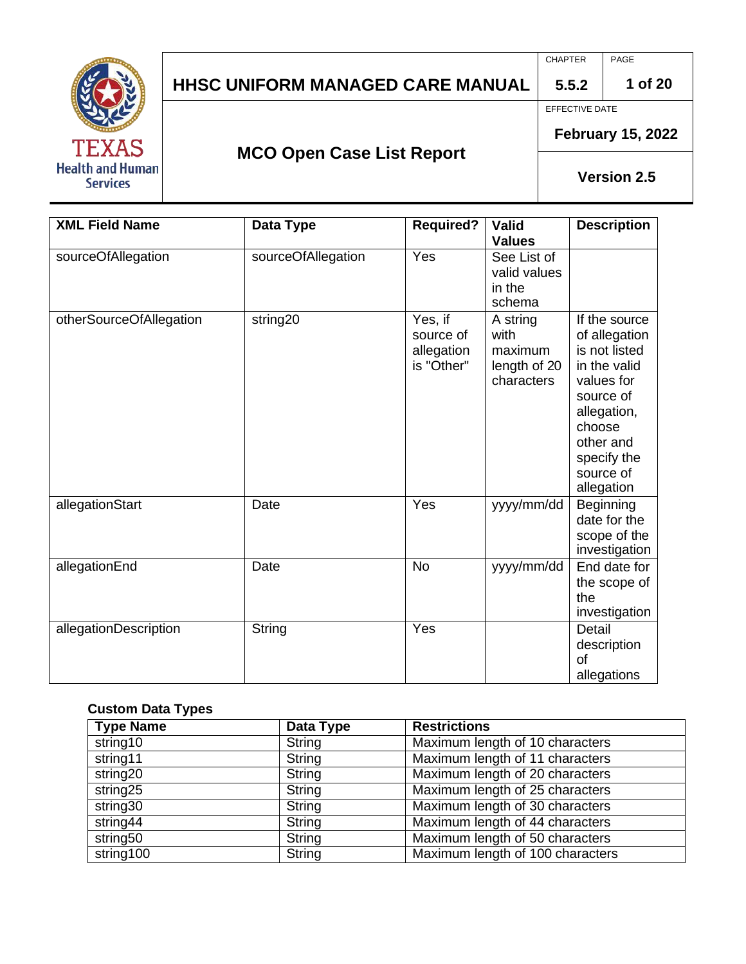

CHAPTER PAGE

**1 of 20**

EFFECTIVE DATE

**5.5.2**

**MCO Open Case List Report**

**February 15, 2022**

**Version 2.5**

| <b>XML Field Name</b>   | Data Type          | <b>Required?</b>                                 | <b>Valid</b><br><b>Values</b>                             | <b>Description</b>                                                                                                                                                         |
|-------------------------|--------------------|--------------------------------------------------|-----------------------------------------------------------|----------------------------------------------------------------------------------------------------------------------------------------------------------------------------|
| sourceOfAllegation      | sourceOfAllegation | Yes                                              | See List of<br>valid values<br>in the<br>schema           |                                                                                                                                                                            |
| otherSourceOfAllegation | string20           | Yes, if<br>source of<br>allegation<br>is "Other" | A string<br>with<br>maximum<br>length of 20<br>characters | If the source<br>of allegation<br>is not listed<br>in the valid<br>values for<br>source of<br>allegation,<br>choose<br>other and<br>specify the<br>source of<br>allegation |
| allegationStart         | Date               | Yes                                              | yyyy/mm/dd                                                | Beginning<br>date for the<br>scope of the<br>investigation                                                                                                                 |
| allegationEnd           | Date               | <b>No</b>                                        | yyyy/mm/dd                                                | End date for<br>the scope of<br>the<br>investigation                                                                                                                       |
| allegationDescription   | <b>String</b>      | Yes                                              |                                                           | Detail<br>description<br>Ωf<br>allegations                                                                                                                                 |

#### **Custom Data Types**

| <b>Type Name</b>     | Data Type     | <b>Restrictions</b>              |  |
|----------------------|---------------|----------------------------------|--|
| string10             | String        | Maximum length of 10 characters  |  |
| string11             | String        | Maximum length of 11 characters  |  |
| string <sub>20</sub> | String        | Maximum length of 20 characters  |  |
| string25             | String        | Maximum length of 25 characters  |  |
| string30             | String        | Maximum length of 30 characters  |  |
| string44             | String        | Maximum length of 44 characters  |  |
| string50             | <b>String</b> | Maximum length of 50 characters  |  |
| string100            | <b>String</b> | Maximum length of 100 characters |  |